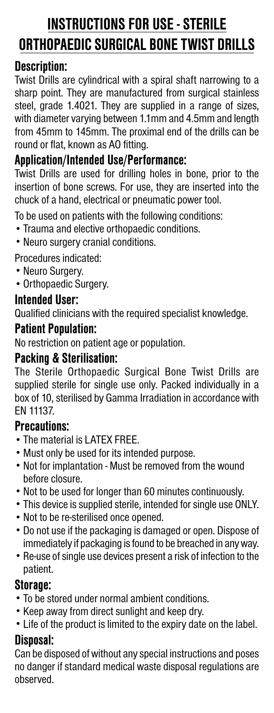# **INSTRUCTIONS FOR USE - STERILE ORTHOPAEDIC SURGICAL BONE TWIST DRILLS**

## **Description:**

Twist Drills are cylindrical with a spiral shaft narrowing to a sharp point. They are manufactured from surgical stainless steel, grade 1.4021. They are supplied in a range of sizes, with diameter varying between 1.1mm and 4.5mm and length from 45mm to 145mm. The proximal end of the drills can be round or flat, known as AO fitting.

# **Application/Intended Use/Performance:**

Twist Drills are used for drilling holes in bone, prior to the insertion of bone screws. For use, they are inserted into the chuck of a hand, electrical or pneumatic power tool.

To be used on patients with the following conditions:

- Trauma and elective orthopaedic conditions.
- Neuro surgery cranial conditions.

Procedures indicated:

- Neuro Surgery.
- Orthopaedic Surgery.

### **Intended User:**

Qualified clinicians with the required specialist knowledge.

#### **Patient Population:**

No restriction on patient age or population.

# **Packing & Sterilisation:**

The Sterile Orthopaedic Surgical Bone Twist Drills are supplied sterile for single use only. Packed individually in a box of 10, sterilised by Gamma Irradiation in accordance with EN 11137.

#### **Precautions:**

- The material is LATEX FREE.
- Must only be used for its intended purpose.
- Not for implantation Must be removed from the wound before closure.
- Not to be used for longer than 60 minutes continuously.
- This device is supplied sterile, intended for single use ONLY.
- Not to be re-sterilised once opened.
- Do not use if the packaging is damaged or open. Dispose of immediately if packaging is found to be breached in any way.
- Re-use of single use devices present a risk of infection to the patient.

#### **Storage:**

- To be stored under normal ambient conditions.
- Keep away from direct sunlight and keep dry.
- Life of the product is limited to the expiry date on the label.

#### **Disposal:**

Can be disposed of without any special instructions and poses no danger if standard medical waste disposal regulations are observed.